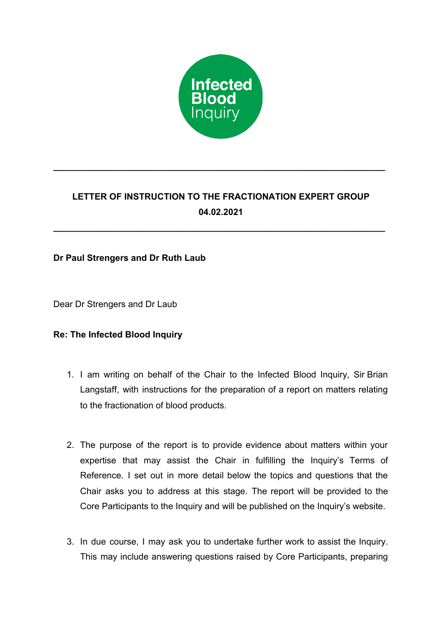

# **LETTER OF INSTRUCTION TO THE FRACTIONATION EXPERT GROUP 04.02.2021**

**\_\_\_\_\_\_\_\_\_\_\_\_\_\_\_\_\_\_\_\_\_\_\_\_\_\_\_\_\_\_\_\_\_\_\_\_\_\_\_\_\_\_\_\_\_\_\_\_\_\_\_\_\_\_\_\_\_\_\_\_\_\_\_\_\_\_\_**

**\_\_\_\_\_\_\_\_\_\_\_\_\_\_\_\_\_\_\_\_\_\_\_\_\_\_\_\_\_\_\_\_\_\_\_\_\_\_\_\_\_\_\_\_\_\_\_\_\_\_\_\_\_\_\_\_\_\_\_\_\_\_\_\_\_\_\_**

## **Dr Paul Strengers and Dr Ruth Laub**

Dear Dr Strengers and Dr Laub

## **Re: The Infected Blood Inquiry**

- 1. I am writing on behalf of the Chair to the Infected Blood Inquiry, Sir Brian Langstaff, with instructions for the preparation of a report on matters relating to the fractionation of blood products.
- 2. The purpose of the report is to provide evidence about matters within your expertise that may assist the Chair in fulfilling the Inquiry's Terms of Reference. I set out in more detail below the topics and questions that the Chair asks you to address at this stage. The report will be provided to the Core Participants to the Inquiry and will be published on the Inquiry's website.
- 3. In due course, I may ask you to undertake further work to assist the Inquiry. This may include answering questions raised by Core Participants, preparing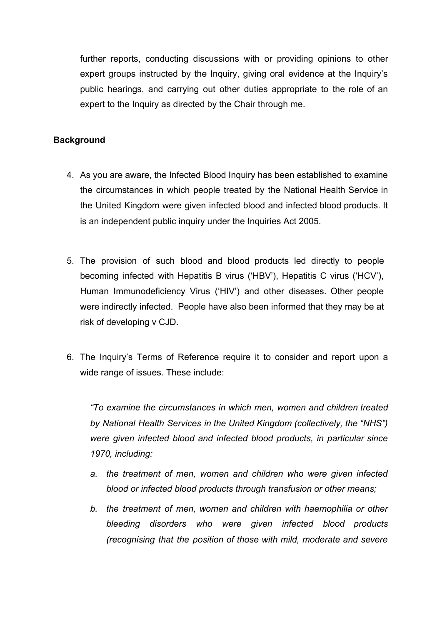further reports, conducting discussions with or providing opinions to other expert groups instructed by the Inquiry, giving oral evidence at the Inquiry's public hearings, and carrying out other duties appropriate to the role of an expert to the Inquiry as directed by the Chair through me.

## **Background**

- 4. As you are aware, the Infected Blood Inquiry has been established to examine the circumstances in which people treated by the National Health Service in the United Kingdom were given infected blood and infected blood products. It is an independent public inquiry under the Inquiries Act 2005.
- 5. The provision of such blood and blood products led directly to people becoming infected with Hepatitis B virus ('HBV'), Hepatitis C virus ('HCV'), Human Immunodeficiency Virus ('HIV') and other diseases. Other people were indirectly infected. People have also been informed that they may be at risk of developing v CJD.
- 6. The Inquiry's Terms of Reference require it to consider and report upon a wide range of issues. These include:

*"To examine the circumstances in which men, women and children treated by National Health Services in the United Kingdom (collectively, the "NHS") were given infected blood and infected blood products, in particular since 1970, including:*

- *a. the treatment of men, women and children who were given infected blood or infected blood products through transfusion or other means;*
- *b. the treatment of men, women and children with haemophilia or other bleeding disorders who were given infected blood products (recognising that the position of those with mild, moderate and severe*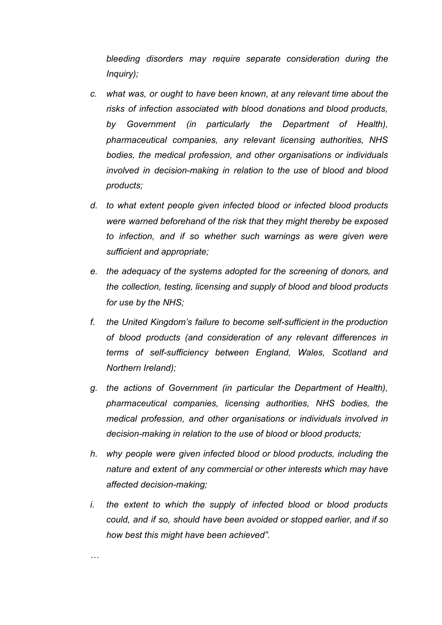*bleeding disorders may require separate consideration during the Inquiry);*

- *c. what was, or ought to have been known, at any relevant time about the risks of infection associated with blood donations and blood products, by Government (in particularly the Department of Health), pharmaceutical companies, any relevant licensing authorities, NHS bodies, the medical profession, and other organisations or individuals involved in decision-making in relation to the use of blood and blood products;*
- *d. to what extent people given infected blood or infected blood products were warned beforehand of the risk that they might thereby be exposed to infection, and if so whether such warnings as were given were sufficient and appropriate;*
- *e. the adequacy of the systems adopted for the screening of donors, and the collection, testing, licensing and supply of blood and blood products for use by the NHS;*
- *f. the United Kingdom's failure to become self-sufficient in the production of blood products (and consideration of any relevant differences in terms of self-sufficiency between England, Wales, Scotland and Northern Ireland);*
- *g. the actions of Government (in particular the Department of Health), pharmaceutical companies, licensing authorities, NHS bodies, the medical profession, and other organisations or individuals involved in decision-making in relation to the use of blood or blood products;*
- *h. why people were given infected blood or blood products, including the nature and extent of any commercial or other interests which may have affected decision-making;*
- *i. the extent to which the supply of infected blood or blood products could, and if so, should have been avoided or stopped earlier, and if so how best this might have been achieved".*

*…*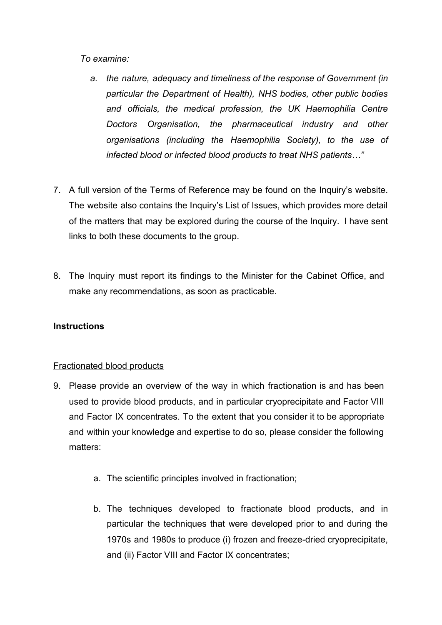*To examine:*

- *a. the nature, adequacy and timeliness of the response of Government (in particular the Department of Health), NHS bodies, other public bodies and officials, the medical profession, the UK Haemophilia Centre Doctors Organisation, the pharmaceutical industry and other organisations (including the Haemophilia Society), to the use of infected blood or infected blood products to treat NHS patients…"*
- 7. A full version of the Terms of Reference may be found on the Inquiry's website. The website also contains the Inquiry's List of Issues, which provides more detail of the matters that may be explored during the course of the Inquiry. I have sent links to both these documents to the group.
- 8. The Inquiry must report its findings to the Minister for the Cabinet Office, and make any recommendations, as soon as practicable.

## **Instructions**

### Fractionated blood products

- 9. Please provide an overview of the way in which fractionation is and has been used to provide blood products, and in particular cryoprecipitate and Factor VIII and Factor IX concentrates. To the extent that you consider it to be appropriate and within your knowledge and expertise to do so, please consider the following matters:
	- a. The scientific principles involved in fractionation;
	- b. The techniques developed to fractionate blood products, and in particular the techniques that were developed prior to and during the 1970s and 1980s to produce (i) frozen and freeze-dried cryoprecipitate, and (ii) Factor VIII and Factor IX concentrates;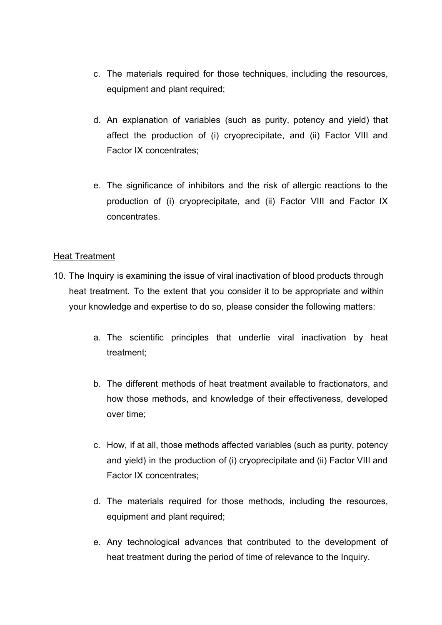- c. The materials required for those techniques, including the resources, equipment and plant required;
- d. An explanation of variables (such as purity, potency and yield) that affect the production of (i) cryoprecipitate, and (ii) Factor VIII and Factor IX concentrates;
- e. The significance of inhibitors and the risk of allergic reactions to the production of (i) cryoprecipitate, and (ii) Factor VIII and Factor IX concentrates.

### Heat Treatment

- 10. The Inquiry is examining the issue of viral inactivation of blood products through heat treatment. To the extent that you consider it to be appropriate and within your knowledge and expertise to do so, please consider the following matters:
	- a. The scientific principles that underlie viral inactivation by heat treatment;
	- b. The different methods of heat treatment available to fractionators, and how those methods, and knowledge of their effectiveness, developed over time;
	- c. How, if at all, those methods affected variables (such as purity, potency and yield) in the production of (i) cryoprecipitate and (ii) Factor VIII and Factor IX concentrates;
	- d. The materials required for those methods, including the resources, equipment and plant required;
	- e. Any technological advances that contributed to the development of heat treatment during the period of time of relevance to the Inquiry.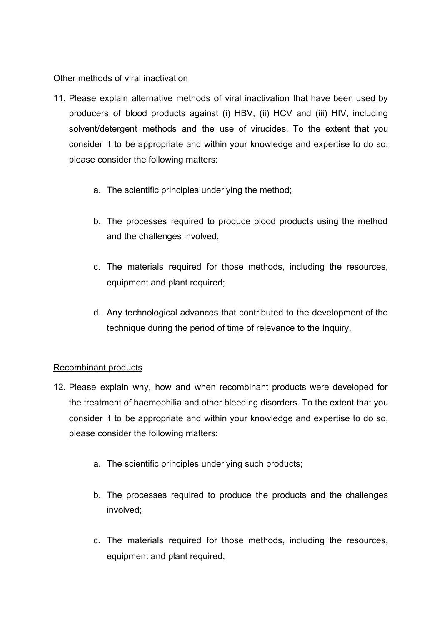# Other methods of viral inactivation

- 11. Please explain alternative methods of viral inactivation that have been used by producers of blood products against (i) HBV, (ii) HCV and (iii) HIV, including solvent/detergent methods and the use of virucides. To the extent that you consider it to be appropriate and within your knowledge and expertise to do so, please consider the following matters:
	- a. The scientific principles underlying the method;
	- b. The processes required to produce blood products using the method and the challenges involved;
	- c. The materials required for those methods, including the resources, equipment and plant required;
	- d. Any technological advances that contributed to the development of the technique during the period of time of relevance to the Inquiry.

# Recombinant products

- 12. Please explain why, how and when recombinant products were developed for the treatment of haemophilia and other bleeding disorders. To the extent that you consider it to be appropriate and within your knowledge and expertise to do so, please consider the following matters:
	- a. The scientific principles underlying such products;
	- b. The processes required to produce the products and the challenges involved;
	- c. The materials required for those methods, including the resources, equipment and plant required;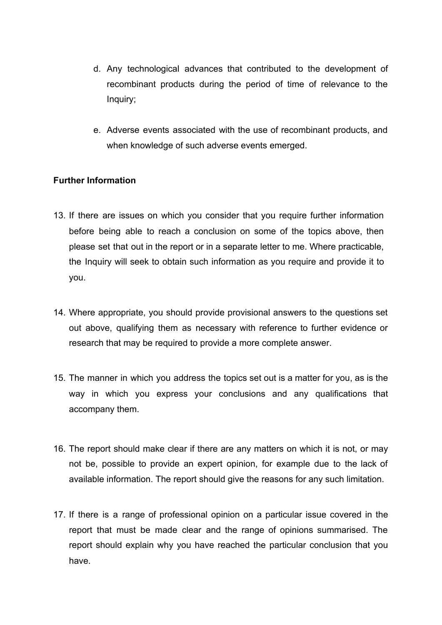- d. Any technological advances that contributed to the development of recombinant products during the period of time of relevance to the Inquiry;
- e. Adverse events associated with the use of recombinant products, and when knowledge of such adverse events emerged.

## **Further Information**

- 13. If there are issues on which you consider that you require further information before being able to reach a conclusion on some of the topics above, then please set that out in the report or in a separate letter to me. Where practicable, the Inquiry will seek to obtain such information as you require and provide it to you.
- 14. Where appropriate, you should provide provisional answers to the questions set out above, qualifying them as necessary with reference to further evidence or research that may be required to provide a more complete answer.
- 15. The manner in which you address the topics set out is a matter for you, as is the way in which you express your conclusions and any qualifications that accompany them.
- 16. The report should make clear if there are any matters on which it is not, or may not be, possible to provide an expert opinion, for example due to the lack of available information. The report should give the reasons for any such limitation.
- 17. If there is a range of professional opinion on a particular issue covered in the report that must be made clear and the range of opinions summarised. The report should explain why you have reached the particular conclusion that you have.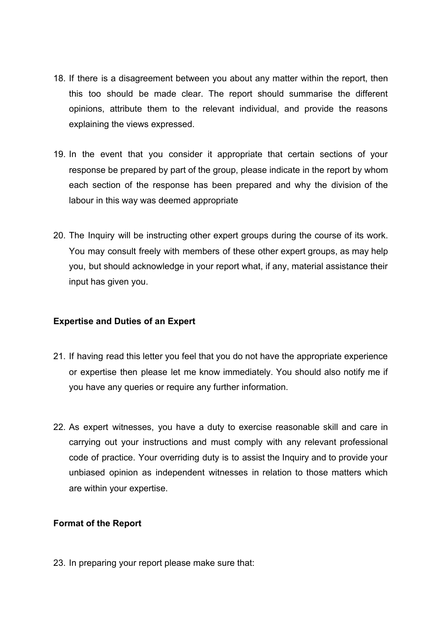- 18. If there is a disagreement between you about any matter within the report, then this too should be made clear. The report should summarise the different opinions, attribute them to the relevant individual, and provide the reasons explaining the views expressed.
- 19. In the event that you consider it appropriate that certain sections of your response be prepared by part of the group, please indicate in the report by whom each section of the response has been prepared and why the division of the labour in this way was deemed appropriate
- 20. The Inquiry will be instructing other expert groups during the course of its work. You may consult freely with members of these other expert groups, as may help you, but should acknowledge in your report what, if any, material assistance their input has given you.

## **Expertise and Duties of an Expert**

- 21. If having read this letter you feel that you do not have the appropriate experience or expertise then please let me know immediately. You should also notify me if you have any queries or require any further information.
- 22. As expert witnesses, you have a duty to exercise reasonable skill and care in carrying out your instructions and must comply with any relevant professional code of practice. Your overriding duty is to assist the Inquiry and to provide your unbiased opinion as independent witnesses in relation to those matters which are within your expertise.

## **Format of the Report**

23. In preparing your report please make sure that: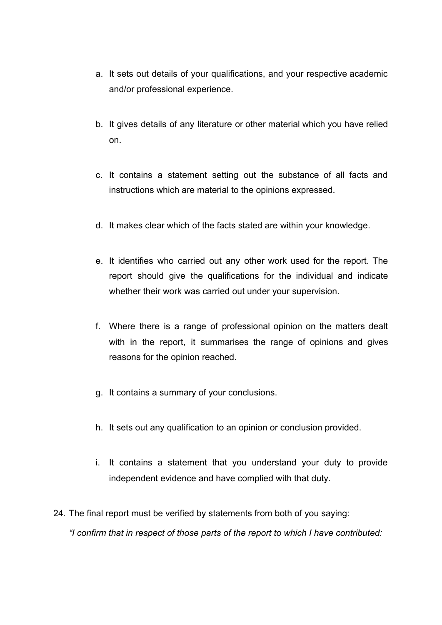- a. It sets out details of your qualifications, and your respective academic and/or professional experience.
- b. It gives details of any literature or other material which you have relied on.
- c. It contains a statement setting out the substance of all facts and instructions which are material to the opinions expressed.
- d. It makes clear which of the facts stated are within your knowledge.
- e. It identifies who carried out any other work used for the report. The report should give the qualifications for the individual and indicate whether their work was carried out under your supervision.
- f. Where there is a range of professional opinion on the matters dealt with in the report, it summarises the range of opinions and gives reasons for the opinion reached.
- g. It contains a summary of your conclusions.
- h. It sets out any qualification to an opinion or conclusion provided.
- i. It contains a statement that you understand your duty to provide independent evidence and have complied with that duty.
- 24. The final report must be verified by statements from both of you saying: *"I confirm that in respect of those parts of the report to which I have contributed:*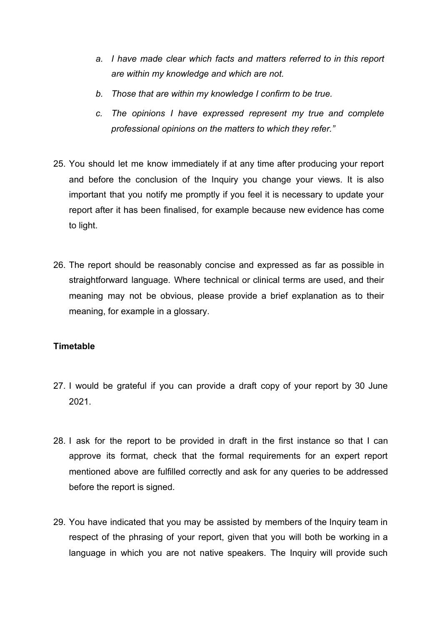- *a. I have made clear which facts and matters referred to in this report are within my knowledge and which are not.*
- *b. Those that are within my knowledge I confirm to be true.*
- *c. The opinions I have expressed represent my true and complete professional opinions on the matters to which they refer."*
- 25. You should let me know immediately if at any time after producing your report and before the conclusion of the Inquiry you change your views. It is also important that you notify me promptly if you feel it is necessary to update your report after it has been finalised, for example because new evidence has come to light.
- 26. The report should be reasonably concise and expressed as far as possible in straightforward language. Where technical or clinical terms are used, and their meaning may not be obvious, please provide a brief explanation as to their meaning, for example in a glossary.

## **Timetable**

- 27. I would be grateful if you can provide a draft copy of your report by 30 June 2021.
- 28. I ask for the report to be provided in draft in the first instance so that I can approve its format, check that the formal requirements for an expert report mentioned above are fulfilled correctly and ask for any queries to be addressed before the report is signed.
- 29. You have indicated that you may be assisted by members of the Inquiry team in respect of the phrasing of your report, given that you will both be working in a language in which you are not native speakers. The Inquiry will provide such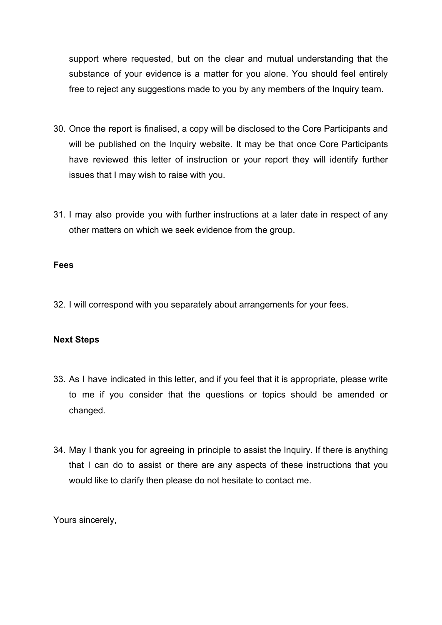support where requested, but on the clear and mutual understanding that the substance of your evidence is a matter for you alone. You should feel entirely free to reject any suggestions made to you by any members of the Inquiry team.

- 30. Once the report is finalised, a copy will be disclosed to the Core Participants and will be published on the Inquiry website. It may be that once Core Participants have reviewed this letter of instruction or your report they will identify further issues that I may wish to raise with you.
- 31. I may also provide you with further instructions at a later date in respect of any other matters on which we seek evidence from the group.

### **Fees**

32. I will correspond with you separately about arrangements for your fees.

### **Next Steps**

- 33. As I have indicated in this letter, and if you feel that it is appropriate, please write to me if you consider that the questions or topics should be amended or changed.
- 34. May I thank you for agreeing in principle to assist the Inquiry. If there is anything that I can do to assist or there are any aspects of these instructions that you would like to clarify then please do not hesitate to contact me.

Yours sincerely,